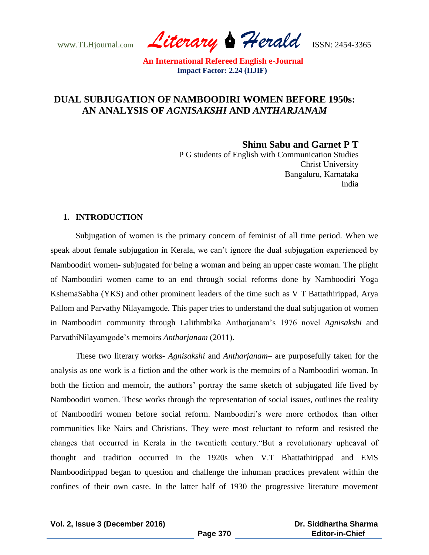www.TLHjournal.com *Literary Herald*ISSN: 2454-3365

# **DUAL SUBJUGATION OF NAMBOODIRI WOMEN BEFORE 1950s: AN ANALYSIS OF** *AGNISAKSHI* **AND** *ANTHARJANAM*

**Shinu Sabu and Garnet P T**

 P G students of English with Communication Studies Christ University Bangaluru, Karnataka India

## **1. INTRODUCTION**

Subjugation of women is the primary concern of feminist of all time period. When we speak about female subjugation in Kerala, we can"t ignore the dual subjugation experienced by Namboodiri women- subjugated for being a woman and being an upper caste woman. The plight of Namboodiri women came to an end through social reforms done by Namboodiri Yoga KshemaSabha (YKS) and other prominent leaders of the time such as V T Battathirippad, Arya Pallom and Parvathy Nilayamgode. This paper tries to understand the dual subjugation of women in Namboodiri community through Lalithmbika Antharjanam"s 1976 novel *Agnisakshi* and ParvathiNilayamgode"s memoirs *Antharjanam* (2011).

These two literary works- *Agnisakshi* and *Antharjanam*– are purposefully taken for the analysis as one work is a fiction and the other work is the memoirs of a Namboodiri woman. In both the fiction and memoir, the authors' portray the same sketch of subjugated life lived by Namboodiri women. These works through the representation of social issues, outlines the reality of Namboodiri women before social reform. Namboodiri"s were more orthodox than other communities like Nairs and Christians. They were most reluctant to reform and resisted the changes that occurred in Kerala in the twentieth century."But a revolutionary upheaval of thought and tradition occurred in the 1920s when V.T Bhattathirippad and EMS Namboodirippad began to question and challenge the inhuman practices prevalent within the confines of their own caste. In the latter half of 1930 the progressive literature movement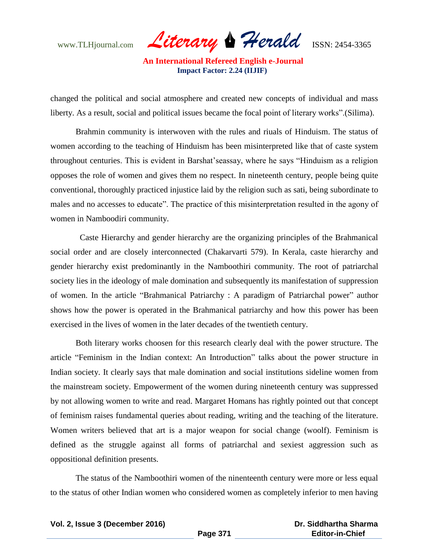www.TLHjournal.com *Literary Herald*ISSN: 2454-3365

changed the political and social atmosphere and created new concepts of individual and mass liberty. As a result, social and political issues became the focal point of literary works".(Silima).

Brahmin community is interwoven with the rules and riuals of Hinduism. The status of women according to the teaching of Hinduism has been misinterpreted like that of caste system throughout centuries. This is evident in Barshat"seassay, where he says "Hinduism as a religion opposes the role of women and gives them no respect. In nineteenth century, people being quite conventional, thoroughly practiced injustice laid by the religion such as sati, being subordinate to males and no accesses to educate". The practice of this misinterpretation resulted in the agony of women in Namboodiri community.

 Caste Hierarchy and gender hierarchy are the organizing principles of the Brahmanical social order and are closely interconnected (Chakarvarti 579). In Kerala, caste hierarchy and gender hierarchy exist predominantly in the Namboothiri community. The root of patriarchal society lies in the ideology of male domination and subsequently its manifestation of suppression of women. In the article "Brahmanical Patriarchy : A paradigm of Patriarchal power" author shows how the power is operated in the Brahmanical patriarchy and how this power has been exercised in the lives of women in the later decades of the twentieth century.

Both literary works choosen for this research clearly deal with the power structure. The article "Feminism in the Indian context: An Introduction" talks about the power structure in Indian society. It clearly says that male domination and social institutions sideline women from the mainstream society. Empowerment of the women during nineteenth century was suppressed by not allowing women to write and read. Margaret Homans has rightly pointed out that concept of feminism raises fundamental queries about reading, writing and the teaching of the literature. Women writers believed that art is a major weapon for social change (woolf). Feminism is defined as the struggle against all forms of patriarchal and sexiest aggression such as oppositional definition presents.

The status of the Namboothiri women of the ninenteenth century were more or less equal to the status of other Indian women who considered women as completely inferior to men having

**Vol. 2, Issue 3 (December 2016)**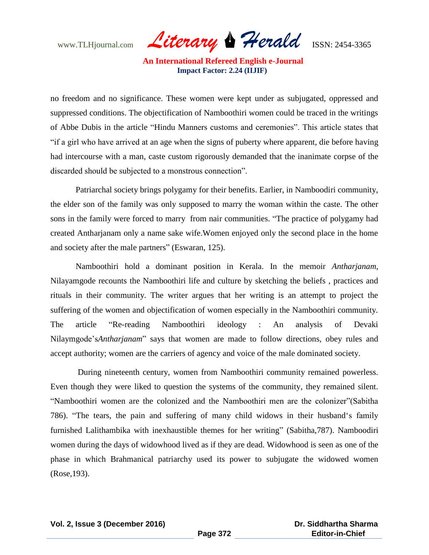www.TLHjournal.com *Literary Herald*ISSN: 2454-3365

no freedom and no significance. These women were kept under as subjugated, oppressed and suppressed conditions. The objectification of Namboothiri women could be traced in the writings of Abbe Dubis in the article "Hindu Manners customs and ceremonies". This article states that "if a girl who have arrived at an age when the signs of puberty where apparent, die before having had intercourse with a man, caste custom rigorously demanded that the inanimate corpse of the discarded should be subjected to a monstrous connection".

Patriarchal society brings polygamy for their benefits. Earlier, in Namboodiri community, the elder son of the family was only supposed to marry the woman within the caste. The other sons in the family were forced to marry from nair communities. "The practice of polygamy had created Antharjanam only a name sake wife.Women enjoyed only the second place in the home and society after the male partners" (Eswaran, 125).

Namboothiri hold a dominant position in Kerala. In the memoir *Antharjanam*, Nilayamgode recounts the Namboothiri life and culture by sketching the beliefs , practices and rituals in their community. The writer argues that her writing is an attempt to project the suffering of the women and objectification of women especially in the Namboothiri community. The article "Re-reading Namboothiri ideology : An analysis of Devaki Nilaymgode"s*Antharjanam*" says that women are made to follow directions, obey rules and accept authority; women are the carriers of agency and voice of the male dominated society.

During nineteenth century, women from Namboothiri community remained powerless. Even though they were liked to question the systems of the community, they remained silent. "Namboothiri women are the colonized and the Namboothiri men are the colonizer"(Sabitha 786). "The tears, the pain and suffering of many child widows in their husband"s family furnished Lalithambika with inexhaustible themes for her writing" (Sabitha,787). Namboodiri women during the days of widowhood lived as if they are dead. Widowhood is seen as one of the phase in which Brahmanical patriarchy used its power to subjugate the widowed women (Rose,193).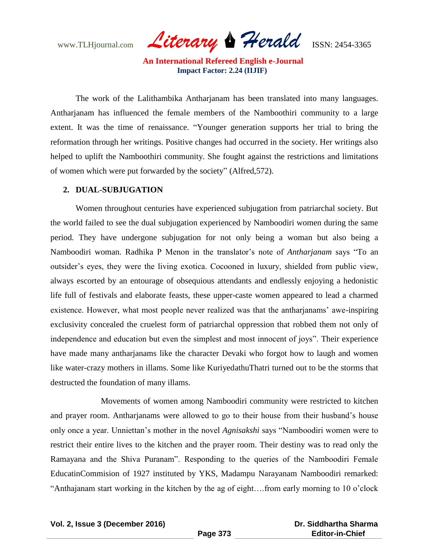www.TLHjournal.com *Literary Herald*ISSN: 2454-3365

The work of the Lalithambika Antharjanam has been translated into many languages. Antharjanam has influenced the female members of the Namboothiri community to a large extent. It was the time of renaissance. "Younger generation supports her trial to bring the reformation through her writings. Positive changes had occurred in the society. Her writings also helped to uplift the Namboothiri community. She fought against the restrictions and limitations of women which were put forwarded by the society" (Alfred,572).

## **2. DUAL-SUBJUGATION**

Women throughout centuries have experienced subjugation from patriarchal society. But the world failed to see the dual subjugation experienced by Namboodiri women during the same period. They have undergone subjugation for not only being a woman but also being a Namboodiri woman. Radhika P Menon in the translator"s note of *Antharjanam* says "To an outsider"s eyes, they were the living exotica. Cocooned in luxury, shielded from public view, always escorted by an entourage of obsequious attendants and endlessly enjoying a hedonistic life full of festivals and elaborate feasts, these upper-caste women appeared to lead a charmed existence. However, what most people never realized was that the antharjanams" awe-inspiring exclusivity concealed the cruelest form of patriarchal oppression that robbed them not only of independence and education but even the simplest and most innocent of joys". Their experience have made many antharjanams like the character Devaki who forgot how to laugh and women like water-crazy mothers in illams. Some like KuriyedathuThatri turned out to be the storms that destructed the foundation of many illams.

Movements of women among Namboodiri community were restricted to kitchen and prayer room. Antharjanams were allowed to go to their house from their husband"s house only once a year. Unniettan"s mother in the novel *Agnisakshi* says "Namboodiri women were to restrict their entire lives to the kitchen and the prayer room. Their destiny was to read only the Ramayana and the Shiva Puranam". Responding to the queries of the Namboodiri Female EducatinCommision of 1927 instituted by YKS, Madampu Narayanam Namboodiri remarked: "Anthajanam start working in the kitchen by the ag of eight….from early morning to 10 o"clock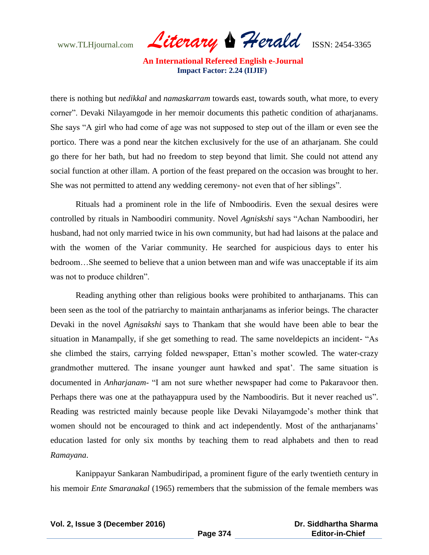www.TLHjournal.com *Literary Herald*ISSN: 2454-3365

there is nothing but *nedikkal* and *namaskarram* towards east, towards south, what more, to every corner". Devaki Nilayamgode in her memoir documents this pathetic condition of atharjanams. She says "A girl who had come of age was not supposed to step out of the illam or even see the portico. There was a pond near the kitchen exclusively for the use of an atharjanam. She could go there for her bath, but had no freedom to step beyond that limit. She could not attend any social function at other illam. A portion of the feast prepared on the occasion was brought to her. She was not permitted to attend any wedding ceremony- not even that of her siblings".

Rituals had a prominent role in the life of Nmboodiris. Even the sexual desires were controlled by rituals in Namboodiri community. Novel *Agniskshi* says "Achan Namboodiri, her husband, had not only married twice in his own community, but had had laisons at the palace and with the women of the Variar community. He searched for auspicious days to enter his bedroom…She seemed to believe that a union between man and wife was unacceptable if its aim was not to produce children".

Reading anything other than religious books were prohibited to antharjanams. This can been seen as the tool of the patriarchy to maintain antharjanams as inferior beings. The character Devaki in the novel *Agnisakshi* says to Thankam that she would have been able to bear the situation in Manampally, if she get something to read. The same noveldepicts an incident- "As she climbed the stairs, carrying folded newspaper, Ettan"s mother scowled. The water-crazy grandmother muttered. The insane younger aunt hawked and spat". The same situation is documented in *Anharjanam*- "I am not sure whether newspaper had come to Pakaravoor then. Perhaps there was one at the pathayappura used by the Namboodiris. But it never reached us". Reading was restricted mainly because people like Devaki Nilayamgode"s mother think that women should not be encouraged to think and act independently. Most of the antharjanams' education lasted for only six months by teaching them to read alphabets and then to read *Ramayana*.

Kanippayur Sankaran Nambudiripad, a prominent figure of the early twentieth century in his memoir *Ente Smaranakal* (1965) remembers that the submission of the female members was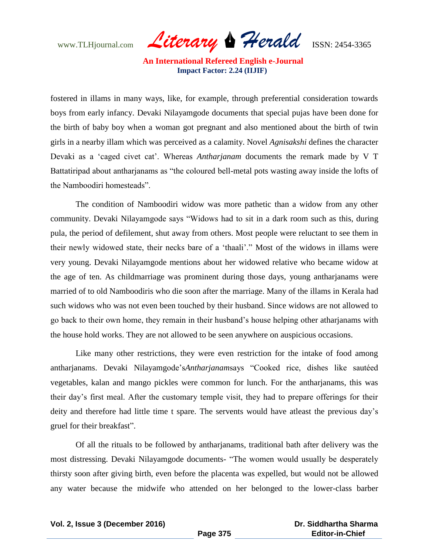www.TLHjournal.com *Literary Herald*ISSN: 2454-3365

fostered in illams in many ways, like, for example, through preferential consideration towards boys from early infancy. Devaki Nilayamgode documents that special pujas have been done for the birth of baby boy when a woman got pregnant and also mentioned about the birth of twin girls in a nearby illam which was perceived as a calamity. Novel *Agnisakshi* defines the character Devaki as a "caged civet cat". Whereas *Antharjanam* documents the remark made by V T Battatiripad about antharjanams as "the coloured bell-metal pots wasting away inside the lofts of the Namboodiri homesteads".

The condition of Namboodiri widow was more pathetic than a widow from any other community. Devaki Nilayamgode says "Widows had to sit in a dark room such as this, during pula, the period of defilement, shut away from others. Most people were reluctant to see them in their newly widowed state, their necks bare of a "thaali"." Most of the widows in illams were very young. Devaki Nilayamgode mentions about her widowed relative who became widow at the age of ten. As childmarriage was prominent during those days, young antharjanams were married of to old Namboodiris who die soon after the marriage. Many of the illams in Kerala had such widows who was not even been touched by their husband. Since widows are not allowed to go back to their own home, they remain in their husband"s house helping other atharjanams with the house hold works. They are not allowed to be seen anywhere on auspicious occasions.

Like many other restrictions, they were even restriction for the intake of food among antharjanams. Devaki Nilayamgode"s*Antharjanam*says "Cooked rice, dishes like sautéed vegetables, kalan and mango pickles were common for lunch. For the antharjanams, this was their day"s first meal. After the customary temple visit, they had to prepare offerings for their deity and therefore had little time t spare. The servents would have atleast the previous day's gruel for their breakfast".

Of all the rituals to be followed by antharjanams, traditional bath after delivery was the most distressing. Devaki Nilayamgode documents- "The women would usually be desperately thirsty soon after giving birth, even before the placenta was expelled, but would not be allowed any water because the midwife who attended on her belonged to the lower-class barber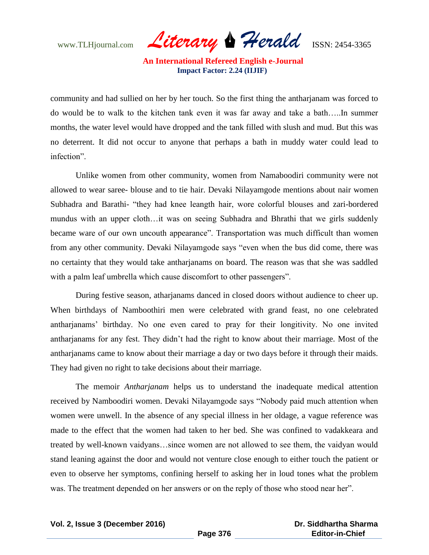www.TLHjournal.com *Literary Herald*ISSN: 2454-3365

community and had sullied on her by her touch. So the first thing the antharjanam was forced to do would be to walk to the kitchen tank even it was far away and take a bath…..In summer months, the water level would have dropped and the tank filled with slush and mud. But this was no deterrent. It did not occur to anyone that perhaps a bath in muddy water could lead to infection".

Unlike women from other community, women from Namaboodiri community were not allowed to wear saree- blouse and to tie hair. Devaki Nilayamgode mentions about nair women Subhadra and Barathi- "they had knee leangth hair, wore colorful blouses and zari-bordered mundus with an upper cloth…it was on seeing Subhadra and Bhrathi that we girls suddenly became ware of our own uncouth appearance". Transportation was much difficult than women from any other community. Devaki Nilayamgode says "even when the bus did come, there was no certainty that they would take antharjanams on board. The reason was that she was saddled with a palm leaf umbrella which cause discomfort to other passengers".

During festive season, atharjanams danced in closed doors without audience to cheer up. When birthdays of Namboothiri men were celebrated with grand feast, no one celebrated antharjanams" birthday. No one even cared to pray for their longitivity. No one invited antharjanams for any fest. They didn"t had the right to know about their marriage. Most of the antharjanams came to know about their marriage a day or two days before it through their maids. They had given no right to take decisions about their marriage.

The memoir *Antharjanam* helps us to understand the inadequate medical attention received by Namboodiri women. Devaki Nilayamgode says "Nobody paid much attention when women were unwell. In the absence of any special illness in her oldage, a vague reference was made to the effect that the women had taken to her bed. She was confined to vadakkeara and treated by well-known vaidyans…since women are not allowed to see them, the vaidyan would stand leaning against the door and would not venture close enough to either touch the patient or even to observe her symptoms, confining herself to asking her in loud tones what the problem was. The treatment depended on her answers or on the reply of those who stood near her".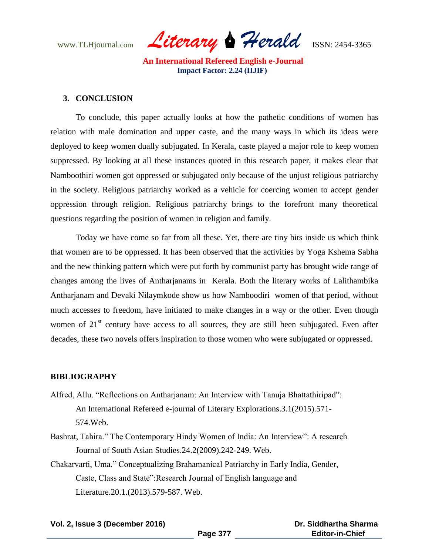www.TLHjournal.com *Literary Herald*ISSN: 2454-3365

#### **3. CONCLUSION**

To conclude, this paper actually looks at how the pathetic conditions of women has relation with male domination and upper caste, and the many ways in which its ideas were deployed to keep women dually subjugated. In Kerala, caste played a major role to keep women suppressed. By looking at all these instances quoted in this research paper, it makes clear that Namboothiri women got oppressed or subjugated only because of the unjust religious patriarchy in the society. Religious patriarchy worked as a vehicle for coercing women to accept gender oppression through religion. Religious patriarchy brings to the forefront many theoretical questions regarding the position of women in religion and family.

Today we have come so far from all these. Yet, there are tiny bits inside us which think that women are to be oppressed. It has been observed that the activities by Yoga Kshema Sabha and the new thinking pattern which were put forth by communist party has brought wide range of changes among the lives of Antharjanams in Kerala. Both the literary works of Lalithambika Antharjanam and Devaki Nilaymkode show us how Namboodiri women of that period, without much accesses to freedom, have initiated to make changes in a way or the other. Even though women of  $21<sup>st</sup>$  century have access to all sources, they are still been subjugated. Even after decades, these two novels offers inspiration to those women who were subjugated or oppressed.

#### **BIBLIOGRAPHY**

- Alfred, Allu. "Reflections on Antharjanam: An Interview with Tanuja Bhattathiripad": An International Refereed e-journal of Literary Explorations.3.1(2015).571- 574.Web.
- Bashrat, Tahira." The Contemporary Hindy Women of India: An Interview": A research Journal of South Asian Studies.24.2(2009).242-249. Web.
- Chakarvarti, Uma." Conceptualizing Brahamanical Patriarchy in Early India, Gender, Caste, Class and State":Research Journal of English language and Literature.20.1.(2013).579-587. Web.